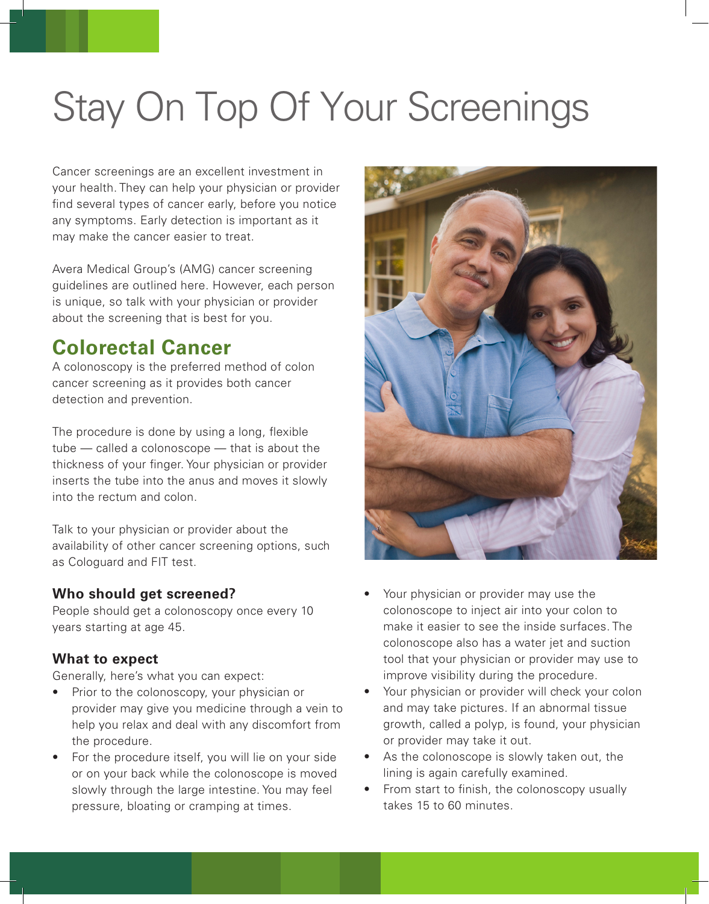# Stay On Top Of Your Screenings

Cancer screenings are an excellent investment in your health. They can help your physician or provider find several types of cancer early, before you notice any symptoms. Early detection is important as it may make the cancer easier to treat.

Avera Medical Group's (AMG) cancer screening guidelines are outlined here. However, each person is unique, so talk with your physician or provider about the screening that is best for you.

## **Colorectal Cancer**

A colonoscopy is the preferred method of colon cancer screening as it provides both cancer detection and prevention.

The procedure is done by using a long, flexible tube — called a colonoscope — that is about the thickness of your finger. Your physician or provider inserts the tube into the anus and moves it slowly into the rectum and colon.

Talk to your physician or provider about the availability of other cancer screening options, such as Cologuard and FIT test.

### **Who should get screened?**

People should get a colonoscopy once every 10 years starting at age 45.

#### **What to expect**

Generally, here's what you can expect:

- Prior to the colonoscopy, your physician or provider may give you medicine through a vein to help you relax and deal with any discomfort from the procedure.
- For the procedure itself, you will lie on your side or on your back while the colonoscope is moved slowly through the large intestine. You may feel pressure, bloating or cramping at times.



- Your physician or provider may use the colonoscope to inject air into your colon to make it easier to see the inside surfaces. The colonoscope also has a water jet and suction tool that your physician or provider may use to improve visibility during the procedure.
- Your physician or provider will check your colon and may take pictures. If an abnormal tissue growth, called a polyp, is found, your physician or provider may take it out.
- As the colonoscope is slowly taken out, the lining is again carefully examined.
- From start to finish, the colonoscopy usually takes 15 to 60 minutes.